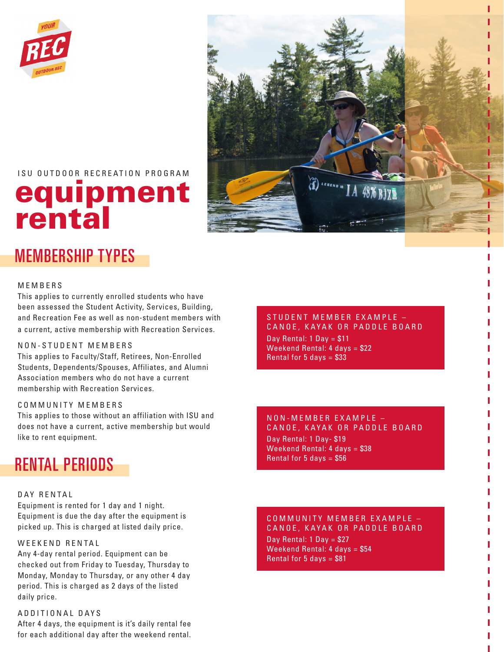



#### ISU OUTDOOR RECREATION PROGRAM

# equipment rental

#### MEMBERSHIP TYPES

#### MEMBERS

This applies to currently enrolled students who have been assessed the Student Activity, Services, Building, and Recreation Fee as well as non-student members with a current, active membership with Recreation Services.

#### NON-STUDENT MEMBERS

This applies to Faculty/Staff, Retirees, Non-Enrolled Students, Dependents/Spouses, Affiliates, and Alumni Association members who do not have a current membership with Recreation Services.

#### COMMUNITY MEMBERS

This applies to those without an affiliation with ISU and does not have a current, active membership but would like to rent equipment.

### RENTAL PERIODS

#### DAY RENTAL

Equipment is rented for 1 day and 1 night. Equipment is due the day after the equipment is picked up. This is charged at listed daily price.

#### WEEKEND RENTAL

Any 4-day rental period. Equipment can be checked out from Friday to Tuesday, Thursday to Monday, Monday to Thursday, or any other 4 day period. This is charged as 2 days of the listed daily price.

ADDITIONAL DAYS After 4 days, the equipment is it's daily rental fee for each additional day after the weekend rental.

STUDENT MEMBER EXAMPLE -CANOE, KAYAK OR PADDLE BOARD Day Rental:  $1$  Day = \$11 Weekend Rental: 4 days = \$22 Rental for 5 days  $= $33$ 

#### NON-MEMBER EXAMPLE -CANOE, KAYAK OR PADDLE BOARD Day Rental: 1 Day- \$19 Weekend Rental: 4 days = \$38 Rental for 5 days  $= $56$

COMMUNITY MEMBER EXAMPLE -CANOE, KAYAK OR PADDLE BOARD Day Rental: 1 Day = \$27 Weekend Rental: 4 days = \$54 Rental for 5 days  $= $81$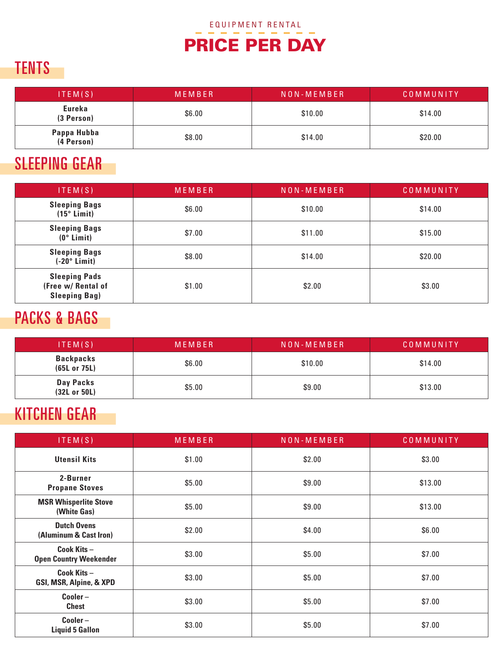# PRICE PER DAY

### TENTS

| ITEM(S)                   | MEMBER | NON - MEMBER | COMMUNITY |
|---------------------------|--------|--------------|-----------|
| Eureka<br>(3 Person)      | \$6.00 | \$10.00      | \$14.00   |
| Pappa Hubba<br>(4 Person) | \$8.00 | \$14.00      | \$20.00   |

### SLEEPING GEAR

| ITEM(S)                                                            | MEMBER | NON-MEMBER | COMMUNITY |
|--------------------------------------------------------------------|--------|------------|-----------|
| <b>Sleeping Bags</b><br>$(15°$ Limit)                              | \$6.00 | \$10.00    | \$14.00   |
| <b>Sleeping Bags</b><br>$(0°$ Limit)                               | \$7.00 | \$11.00    | \$15.00   |
| <b>Sleeping Bags</b><br>$(-20°$ Limit)                             | \$8.00 | \$14.00    | \$20.00   |
| <b>Sleeping Pads</b><br>(Free w/ Rental of<br><b>Sleeping Bag)</b> | \$1.00 | \$2.00     | \$3.00    |

### PACKS & BAGS

| ITEM(S)                          | MEMBER | NON - MEMBER | COMMUNITY |
|----------------------------------|--------|--------------|-----------|
| <b>Backpacks</b><br>(65L or 75L) | \$6.00 | \$10.00      | \$14.00   |
| Day Packs<br>(32L or 50L)        | \$5.00 | \$9.00       | \$13.00   |

# KITCHEN GEAR

| ITEM(S)                                      | <b>MEMBER</b> | NON-MEMBER | COMMUNITY |
|----------------------------------------------|---------------|------------|-----------|
| <b>Utensil Kits</b>                          | \$1.00        | \$2.00     | \$3.00    |
| 2-Burner<br><b>Propane Stoves</b>            | \$5.00        | \$9.00     | \$13.00   |
| <b>MSR Whisperlite Stove</b><br>(White Gas)  | \$5.00        | \$9.00     | \$13.00   |
| <b>Dutch Ovens</b><br>(Aluminum & Cast Iron) | \$2.00        | \$4.00     | \$6.00    |
| Cook Kits-<br><b>Open Country Weekender</b>  | \$3.00        | \$5.00     | \$7.00    |
| Cook Kits-<br>GSI, MSR, Alpine, & XPD        | \$3.00        | \$5.00     | \$7.00    |
| $Cooler -$<br><b>Chest</b>                   | \$3.00        | \$5.00     | \$7.00    |
| $\text{Cooler}$ –<br><b>Liquid 5 Gallon</b>  | \$3.00        | \$5.00     | \$7.00    |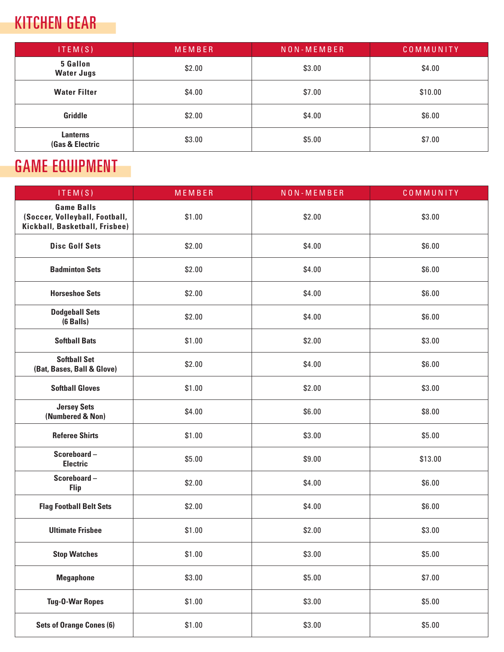# KITCHEN GEAR

÷

| ITEM(S)                                       | MEMBER | NON-MEMBER | COMMUNITY |
|-----------------------------------------------|--------|------------|-----------|
| <b>5 Gallon</b><br><b>Water Jugs</b>          | \$2.00 | \$3.00     | \$4.00    |
| <b>Water Filter</b>                           | \$4.00 | \$7.00     | \$10.00   |
| Griddle                                       | \$2.00 | \$4.00     | \$6.00    |
| <b>Lanterns</b><br><b>(Gas &amp; Electric</b> | \$3.00 | \$5.00     | \$7.00    |

# GAME EQUIPMENT

| ITEM( $S$ )                                                                           | MEMBER | NON-MEMBER | COMMUNITY |
|---------------------------------------------------------------------------------------|--------|------------|-----------|
| <b>Game Balls</b><br>(Soccer, Volleyball, Football,<br>Kickball, Basketball, Frisbee) | \$1.00 | \$2.00     | \$3.00    |
| <b>Disc Golf Sets</b>                                                                 | \$2.00 | \$4.00     | \$6.00    |
| <b>Badminton Sets</b>                                                                 | \$2.00 | \$4.00     | \$6.00    |
| <b>Horseshoe Sets</b>                                                                 | \$2.00 | \$4.00     | \$6.00    |
| <b>Dodgeball Sets</b><br>$(6$ Balls $)$                                               | \$2.00 | \$4.00     | \$6.00    |
| <b>Softball Bats</b>                                                                  | \$1.00 | \$2.00     | \$3.00    |
| <b>Softball Set</b><br>(Bat, Bases, Ball & Glove)                                     | \$2.00 | \$4.00     | \$6.00    |
| <b>Softball Gloves</b>                                                                | \$1.00 | \$2.00     | \$3.00    |
| <b>Jersey Sets</b><br>(Numbered & Non)                                                | \$4.00 | \$6.00     | \$8.00    |
| <b>Referee Shirts</b>                                                                 | \$1.00 | \$3.00     | \$5.00    |
| Scoreboard-<br><b>Electric</b>                                                        | \$5.00 | \$9.00     | \$13.00   |
| Scoreboard-<br><b>Flip</b>                                                            | \$2.00 | \$4.00     | \$6.00    |
| <b>Flag Football Belt Sets</b>                                                        | \$2.00 | \$4.00     | \$6.00    |
| <b>Ultimate Frisbee</b>                                                               | \$1.00 | \$2.00     | \$3.00    |
| <b>Stop Watches</b>                                                                   | \$1.00 | \$3.00     | \$5.00    |
| <b>Megaphone</b>                                                                      | \$3.00 | \$5.00     | \$7.00    |
| <b>Tug-O-War Ropes</b>                                                                | \$1.00 | \$3.00     | \$5.00    |
| <b>Sets of Orange Cones (6)</b>                                                       | \$1.00 | \$3.00     | \$5.00    |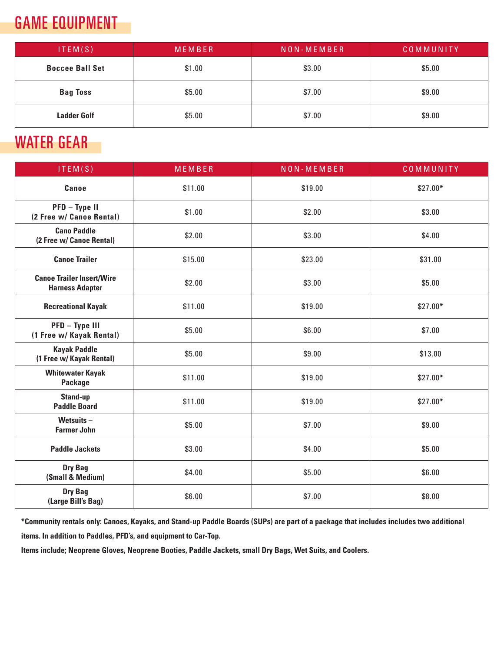# GAME EQUIPMENT

| ITEM(S)                | MEMBER | NON - MEMBER | COMMUNITY |
|------------------------|--------|--------------|-----------|
| <b>Boccee Ball Set</b> | \$1.00 | \$3.00       | \$5.00    |
| <b>Bag Toss</b>        | \$5.00 | \$7.00       | \$9.00    |
| <b>Ladder Golf</b>     | \$5.00 | \$7.00       | \$9.00    |

### WATER GEAR

| ITEM(S)                                                    | MEMBER  | NON-MEMBER | COMMUNITY |
|------------------------------------------------------------|---------|------------|-----------|
| Canoe                                                      | \$11.00 | \$19.00    | $$27.00*$ |
| PFD - Type II<br>(2 Free w/ Canoe Rental)                  | \$1.00  | \$2.00     | \$3.00    |
| <b>Cano Paddle</b><br>(2 Free w/ Canoe Rental)             | \$2.00  | \$3.00     | \$4.00    |
| <b>Canoe Trailer</b>                                       | \$15.00 | \$23.00    | \$31.00   |
| <b>Canoe Trailer Insert/Wire</b><br><b>Harness Adapter</b> | \$2.00  | \$3.00     | \$5.00    |
| <b>Recreational Kayak</b>                                  | \$11.00 | \$19.00    | \$27.00*  |
| PFD - Type III<br>(1 Free w/ Kayak Rental)                 | \$5.00  | \$6.00     | \$7.00    |
| <b>Kayak Paddle</b><br>(1 Free w/ Kayak Rental)            | \$5.00  | \$9.00     | \$13.00   |
| <b>Whitewater Kayak</b><br>Package                         | \$11.00 | \$19.00    | $$27.00*$ |
| Stand-up<br><b>Paddle Board</b>                            | \$11.00 | \$19.00    | $$27.00*$ |
| Wetsuits-<br><b>Farmer John</b>                            | \$5.00  | \$7.00     | \$9.00    |
| <b>Paddle Jackets</b>                                      | \$3.00  | \$4.00     | \$5.00    |
| <b>Dry Bag</b><br>(Small & Medium)                         | \$4.00  | \$5.00     | \$6.00    |
| <b>Dry Bag</b><br>(Large Bill's Bag)                       | \$6.00  | \$7.00     | \$8.00    |

**\*Community rentals only: Canoes, Kayaks, and Stand-up Paddle Boards (SUPs) are part of a package that includes includes two additional items. In addition to Paddles, PFD's, and equipment to Car-Top.** 

**Items include; Neoprene Gloves, Neoprene Booties, Paddle Jackets, small Dry Bags, Wet Suits, and Coolers.**